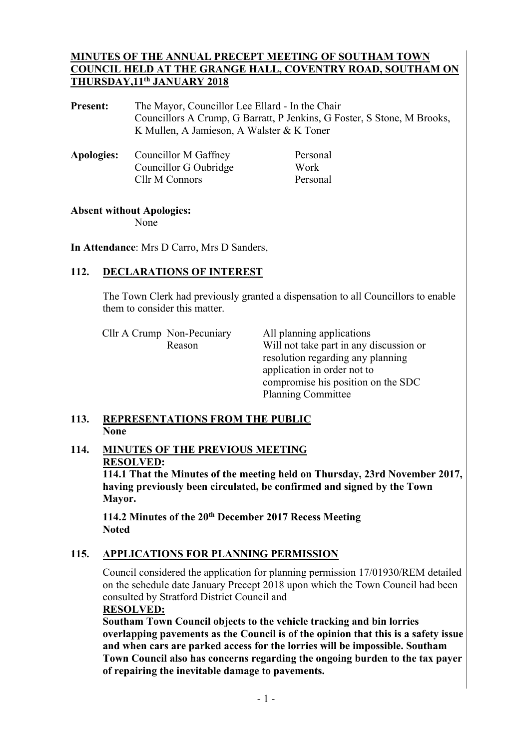#### **MINUTES OF THE ANNUAL PRECEPT MEETING OF SOUTHAM TOWN COUNCIL HELD AT THE GRANGE HALL, COVENTRY ROAD, SOUTHAM ON THURSDAY,11th JANUARY 2018**

**Present:** The Mayor, Councillor Lee Ellard - In the Chair Councillors A Crump, G Barratt, P Jenkins, G Foster, S Stone, M Brooks, K Mullen, A Jamieson, A Walster & K Toner

|  | <b>Apologies:</b> Councillor M Gaffney | Personal |
|--|----------------------------------------|----------|
|  | Councillor G Oubridge                  | Work     |
|  | Cllr M Connors                         | Personal |

#### **Absent without Apologies:**

None

**In Attendance**: Mrs D Carro, Mrs D Sanders,

# 112. DECLARATIONS OF INTEREST

The Town Clerk had previously granted a dispensation to all Councillors to enable them to consider this matter.

Cllr A Crump Non-Pecuniary All planning applications

 Reason Will not take part in any discussion or resolution regarding any planning application in order not to compromise his position on the SDC Planning Committee

## **113. REPRESENTATIONS FROM THE PUBLIC None**

# **114. MINUTES OF THE PREVIOUS MEETING RESOLVED:**

**114.1 That the Minutes of the meeting held on Thursday, 23rd November 2017, having previously been circulated, be confirmed and signed by the Town Mayor.** 

**114.2 Minutes of the 20th December 2017 Recess Meeting Noted** 

#### **115. APPLICATIONS FOR PLANNING PERMISSION**   $115.$

Council considered the application for planning permission 17/01930/REM detailed on the schedule date January Precept 2018 upon which the Town Council had been consulted by Stratford District Council and

#### **RESOLVED:**

**Southam Town Council objects to the vehicle tracking and bin lorries overlapping pavements as the Council is of the opinion that this is a safety issue and when cars are parked access for the lorries will be impossible. Southam Town Council also has concerns regarding the ongoing burden to the tax payer of repairing the inevitable damage to pavements.**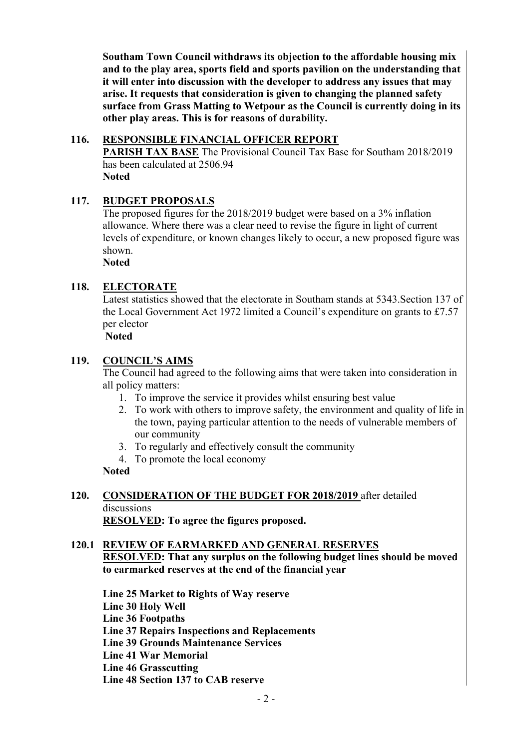**Southam Town Council withdraws its objection to the affordable housing mix and to the play area, sports field and sports pavilion on the understanding that it will enter into discussion with the developer to address any issues that may arise. It requests that consideration is given to changing the planned safety surface from Grass Matting to Wetpour as the Council is currently doing in its other play areas. This is for reasons of durability.** 

#### **116. RESPONSIBLE FINANCIAL OFFICER REPORT**

 **PARISH TAX BASE** The Provisional Council Tax Base for Southam 2018/2019 has been calculated at 2506.94 **Noted**

## **117. BUDGET PROPOSALS**

The proposed figures for the 2018/2019 budget were based on a 3% inflation allowance. Where there was a clear need to revise the figure in light of current levels of expenditure, or known changes likely to occur, a new proposed figure was shown.

**Noted**

## **118. ELECTORATE**

Latest statistics showed that the electorate in Southam stands at 5343.Section 137 of the Local Government Act 1972 limited a Council's expenditure on grants to £7.57 per elector

 **Noted** 

#### **119. COUNCIL'S AIMS**

The Council had agreed to the following aims that were taken into consideration in all policy matters:

- 1. To improve the service it provides whilst ensuring best value
- 2. To work with others to improve safety, the environment and quality of life in the town, paying particular attention to the needs of vulnerable members of our community
- 3. To regularly and effectively consult the community
- 4. To promote the local economy

## **Noted**

**120. CONSIDERATION OF THE BUDGET FOR 2018/2019** after detailed discussions **RESOLVED: To agree the figures proposed.** 

## **120.1 REVIEW OF EARMARKED AND GENERAL RESERVES RESOLVED: That any surplus on the following budget lines should be moved to earmarked reserves at the end of the financial year**

**Line 25 Market to Rights of Way reserve** 

**Line 30 Holy Well** 

**Line 36 Footpaths** 

 **Line 37 Repairs Inspections and Replacements** 

- **Line 39 Grounds Maintenance Services**
- **Line 41 War Memorial**

 **Line 46 Grasscutting** 

 **Line 48 Section 137 to CAB reserve**